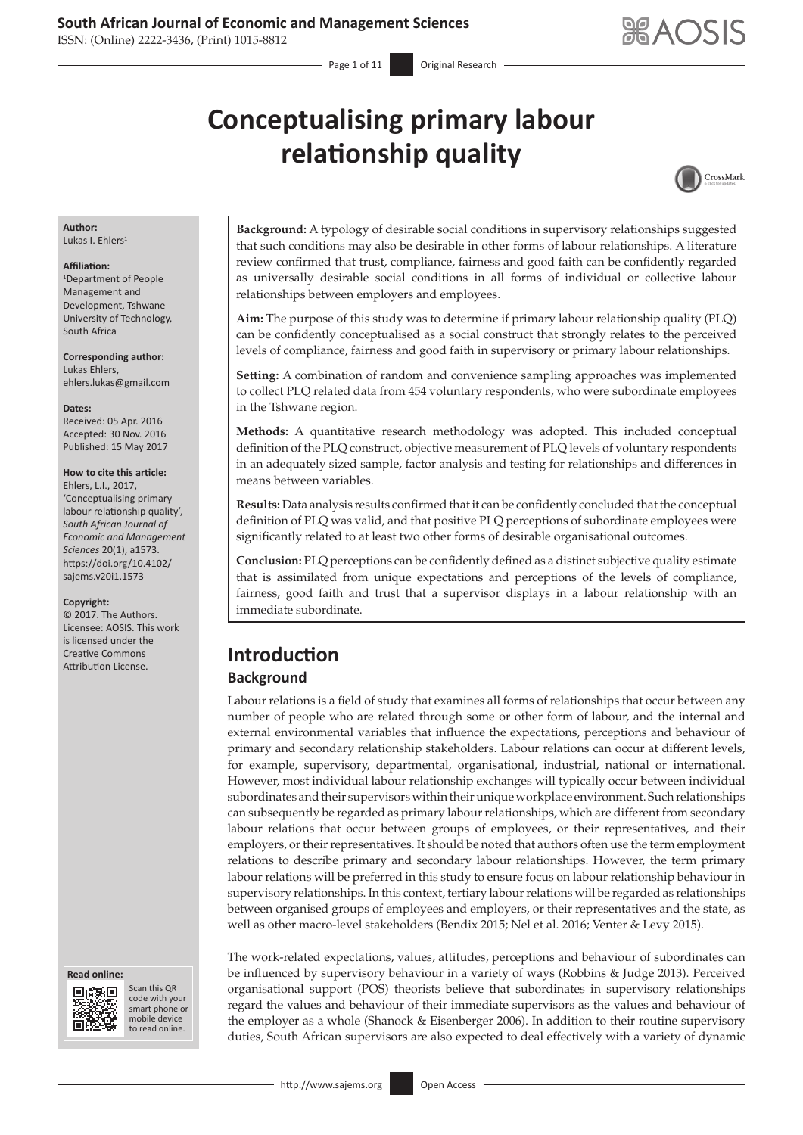ISSN: (Online) 2222-3436, (Print) 1015-8812

# **Conceptualising primary labour relationship quality**



#### **Author:** Lukas I. Ehlers<sup>1</sup>

### **Affiliation:**

1 Department of People Management and Development, Tshwane University of Technology, South Africa

**Corresponding author:** Lukas Ehlers, [ehlers.lukas@gmail.com](mailto:ehlers.lukas@gmail.com)

#### **Dates:**

Received: 05 Apr. 2016 Accepted: 30 Nov. 2016 Published: 15 May 2017

### **How to cite this article:**

Ehlers, L.I., 2017, 'Conceptualising primary labour relationship quality', *South African Journal of Economic and Management Sciences* 20(1), a1573. [https://doi.org/10.4102/](https://doi.org/10.4102/sajems.v20i1.1573) [sajems.v20i1.1573](https://doi.org/10.4102/sajems.v20i1.1573)

#### **Copyright:**

© 2017. The Authors. Licensee: AOSIS. This work is licensed under the Creative Commons Attribution License.

#### **Read online: Read**



Scan this QR code with your Scan this QR<br>code with your<br>smart phone or<br>mobile device mobile device to read online. to read online.

**Background:** A typology of desirable social conditions in supervisory relationships suggested that such conditions may also be desirable in other forms of labour relationships. A literature review confirmed that trust, compliance, fairness and good faith can be confidently regarded as universally desirable social conditions in all forms of individual or collective labour relationships between employers and employees.

**Aim:** The purpose of this study was to determine if primary labour relationship quality (PLQ) can be confidently conceptualised as a social construct that strongly relates to the perceived levels of compliance, fairness and good faith in supervisory or primary labour relationships.

**Setting:** A combination of random and convenience sampling approaches was implemented to collect PLQ related data from 454 voluntary respondents, who were subordinate employees in the Tshwane region.

**Methods:** A quantitative research methodology was adopted. This included conceptual definition of the PLQ construct, objective measurement of PLQ levels of voluntary respondents in an adequately sized sample, factor analysis and testing for relationships and differences in means between variables.

**Results:** Data analysis results confirmed that it can be confidently concluded that the conceptual definition of PLQ was valid, and that positive PLQ perceptions of subordinate employees were significantly related to at least two other forms of desirable organisational outcomes.

**Conclusion:** PLQ perceptions can be confidently defined as a distinct subjective quality estimate that is assimilated from unique expectations and perceptions of the levels of compliance, fairness, good faith and trust that a supervisor displays in a labour relationship with an immediate subordinate.

# **Introduction**

## **Background**

Labour relations is a field of study that examines all forms of relationships that occur between any number of people who are related through some or other form of labour, and the internal and external environmental variables that influence the expectations, perceptions and behaviour of primary and secondary relationship stakeholders. Labour relations can occur at different levels, for example, supervisory, departmental, organisational, industrial, national or international. However, most individual labour relationship exchanges will typically occur between individual subordinates and their supervisors within their unique workplace environment. Such relationships can subsequently be regarded as primary labour relationships, which are different from secondary labour relations that occur between groups of employees, or their representatives, and their employers, or their representatives. It should be noted that authors often use the term employment relations to describe primary and secondary labour relationships. However, the term primary labour relations will be preferred in this study to ensure focus on labour relationship behaviour in supervisory relationships. In this context, tertiary labour relations will be regarded as relationships between organised groups of employees and employers, or their representatives and the state, as well as other macro-level stakeholders (Bendix 2015; Nel et al. 2016; Venter & Levy 2015).

The work-related expectations, values, attitudes, perceptions and behaviour of subordinates can be influenced by supervisory behaviour in a variety of ways (Robbins & Judge 2013). Perceived organisational support (POS) theorists believe that subordinates in supervisory relationships regard the values and behaviour of their immediate supervisors as the values and behaviour of the employer as a whole (Shanock & Eisenberger 2006). In addition to their routine supervisory duties, South African supervisors are also expected to deal effectively with a variety of dynamic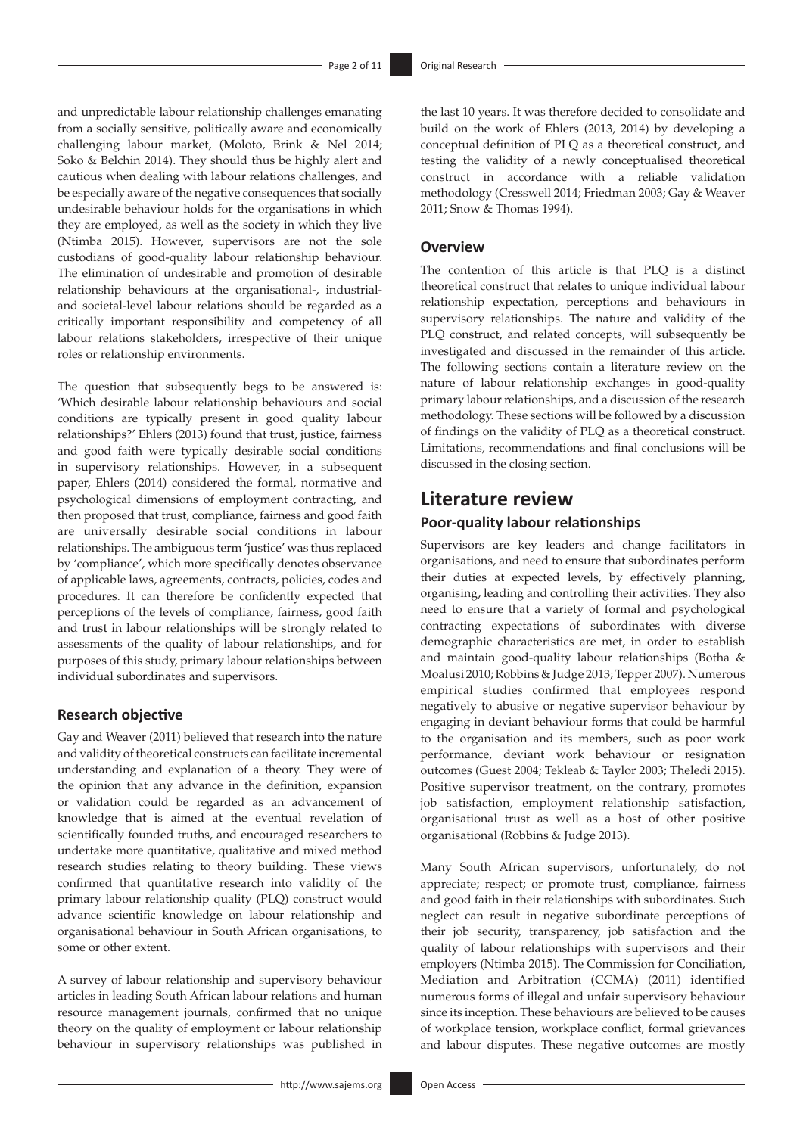and unpredictable labour relationship challenges emanating from a socially sensitive, politically aware and economically challenging labour market, (Moloto, Brink & Nel 2014; Soko & Belchin 2014). They should thus be highly alert and cautious when dealing with labour relations challenges, and be especially aware of the negative consequences that socially undesirable behaviour holds for the organisations in which they are employed, as well as the society in which they live (Ntimba 2015). However, supervisors are not the sole custodians of good-quality labour relationship behaviour. The elimination of undesirable and promotion of desirable relationship behaviours at the organisational-, industrialand societal-level labour relations should be regarded as a critically important responsibility and competency of all labour relations stakeholders, irrespective of their unique roles or relationship environments.

The question that subsequently begs to be answered is: 'Which desirable labour relationship behaviours and social conditions are typically present in good quality labour relationships?' Ehlers (2013) found that trust, justice, fairness and good faith were typically desirable social conditions in supervisory relationships. However, in a subsequent paper, Ehlers (2014) considered the formal, normative and psychological dimensions of employment contracting, and then proposed that trust, compliance, fairness and good faith are universally desirable social conditions in labour relationships. The ambiguous term 'justice' was thus replaced by 'compliance', which more specifically denotes observance of applicable laws, agreements, contracts, policies, codes and procedures. It can therefore be confidently expected that perceptions of the levels of compliance, fairness, good faith and trust in labour relationships will be strongly related to assessments of the quality of labour relationships, and for purposes of this study, primary labour relationships between individual subordinates and supervisors.

### **Research objective**

Gay and Weaver (2011) believed that research into the nature and validity of theoretical constructs can facilitate incremental understanding and explanation of a theory. They were of the opinion that any advance in the definition, expansion or validation could be regarded as an advancement of knowledge that is aimed at the eventual revelation of scientifically founded truths, and encouraged researchers to undertake more quantitative, qualitative and mixed method research studies relating to theory building. These views confirmed that quantitative research into validity of the primary labour relationship quality (PLQ) construct would advance scientific knowledge on labour relationship and organisational behaviour in South African organisations, to some or other extent.

A survey of labour relationship and supervisory behaviour articles in leading South African labour relations and human resource management journals, confirmed that no unique theory on the quality of employment or labour relationship behaviour in supervisory relationships was published in the last 10 years. It was therefore decided to consolidate and build on the work of Ehlers (2013, 2014) by developing a conceptual definition of PLQ as a theoretical construct, and testing the validity of a newly conceptualised theoretical construct in accordance with a reliable validation methodology (Cresswell 2014; Friedman 2003; Gay & Weaver 2011; Snow & Thomas 1994).

### **Overview**

The contention of this article is that PLQ is a distinct theoretical construct that relates to unique individual labour relationship expectation, perceptions and behaviours in supervisory relationships. The nature and validity of the PLQ construct, and related concepts, will subsequently be investigated and discussed in the remainder of this article. The following sections contain a literature review on the nature of labour relationship exchanges in good-quality primary labour relationships, and a discussion of the research methodology. These sections will be followed by a discussion of findings on the validity of PLQ as a theoretical construct. Limitations, recommendations and final conclusions will be discussed in the closing section.

# **Literature review Poor-quality labour relationships**

Supervisors are key leaders and change facilitators in organisations, and need to ensure that subordinates perform their duties at expected levels, by effectively planning, organising, leading and controlling their activities. They also need to ensure that a variety of formal and psychological contracting expectations of subordinates with diverse demographic characteristics are met, in order to establish and maintain good-quality labour relationships (Botha & Moalusi 2010; Robbins & Judge 2013; Tepper 2007). Numerous empirical studies confirmed that employees respond negatively to abusive or negative supervisor behaviour by engaging in deviant behaviour forms that could be harmful to the organisation and its members, such as poor work performance, deviant work behaviour or resignation outcomes (Guest 2004; Tekleab & Taylor 2003; Theledi 2015). Positive supervisor treatment, on the contrary, promotes job satisfaction, employment relationship satisfaction, organisational trust as well as a host of other positive organisational (Robbins & Judge 2013).

Many South African supervisors, unfortunately, do not appreciate; respect; or promote trust, compliance, fairness and good faith in their relationships with subordinates. Such neglect can result in negative subordinate perceptions of their job security, transparency, job satisfaction and the quality of labour relationships with supervisors and their employers (Ntimba 2015). The Commission for Conciliation, Mediation and Arbitration (CCMA) (2011) identified numerous forms of illegal and unfair supervisory behaviour since its inception. These behaviours are believed to be causes of workplace tension, workplace conflict, formal grievances and labour disputes. These negative outcomes are mostly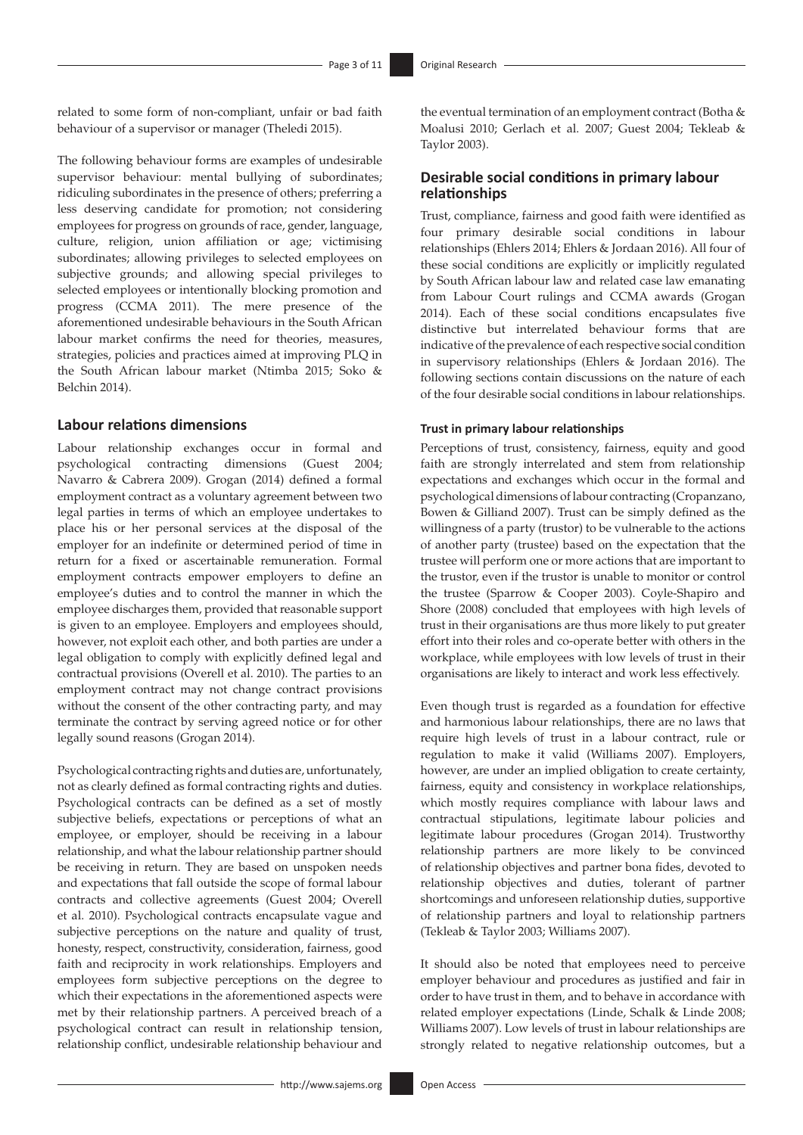related to some form of non-compliant, unfair or bad faith behaviour of a supervisor or manager (Theledi 2015).

The following behaviour forms are examples of undesirable supervisor behaviour: mental bullying of subordinates; ridiculing subordinates in the presence of others; preferring a less deserving candidate for promotion; not considering employees for progress on grounds of race, gender, language, culture, religion, union affiliation or age; victimising subordinates; allowing privileges to selected employees on subjective grounds; and allowing special privileges to selected employees or intentionally blocking promotion and progress (CCMA 2011). The mere presence of the aforementioned undesirable behaviours in the South African labour market confirms the need for theories, measures, strategies, policies and practices aimed at improving PLQ in the South African labour market (Ntimba 2015; Soko & Belchin 2014).

### **Labour relations dimensions**

Labour relationship exchanges occur in formal and psychological contracting dimensions (Guest 2004; Navarro & Cabrera 2009). Grogan (2014) defined a formal employment contract as a voluntary agreement between two legal parties in terms of which an employee undertakes to place his or her personal services at the disposal of the employer for an indefinite or determined period of time in return for a fixed or ascertainable remuneration. Formal employment contracts empower employers to define an employee's duties and to control the manner in which the employee discharges them, provided that reasonable support is given to an employee. Employers and employees should, however, not exploit each other, and both parties are under a legal obligation to comply with explicitly defined legal and contractual provisions (Overell et al. 2010). The parties to an employment contract may not change contract provisions without the consent of the other contracting party, and may terminate the contract by serving agreed notice or for other legally sound reasons (Grogan 2014).

Psychological contracting rights and duties are, unfortunately, not as clearly defined as formal contracting rights and duties. Psychological contracts can be defined as a set of mostly subjective beliefs, expectations or perceptions of what an employee, or employer, should be receiving in a labour relationship, and what the labour relationship partner should be receiving in return. They are based on unspoken needs and expectations that fall outside the scope of formal labour contracts and collective agreements (Guest 2004; Overell et al. 2010). Psychological contracts encapsulate vague and subjective perceptions on the nature and quality of trust, honesty, respect, constructivity, consideration, fairness, good faith and reciprocity in work relationships. Employers and employees form subjective perceptions on the degree to which their expectations in the aforementioned aspects were met by their relationship partners. A perceived breach of a psychological contract can result in relationship tension, relationship conflict, undesirable relationship behaviour and

the eventual termination of an employment contract (Botha & Moalusi 2010; Gerlach et al. 2007; Guest 2004; Tekleab & Taylor 2003).

### **Desirable social conditions in primary labour relationships**

Trust, compliance, fairness and good faith were identified as four primary desirable social conditions in labour relationships (Ehlers 2014; Ehlers & Jordaan 2016). All four of these social conditions are explicitly or implicitly regulated by South African labour law and related case law emanating from Labour Court rulings and CCMA awards (Grogan 2014). Each of these social conditions encapsulates five distinctive but interrelated behaviour forms that are indicative of the prevalence of each respective social condition in supervisory relationships (Ehlers & Jordaan 2016). The following sections contain discussions on the nature of each of the four desirable social conditions in labour relationships.

#### **Trust in primary labour relationships**

Perceptions of trust, consistency, fairness, equity and good faith are strongly interrelated and stem from relationship expectations and exchanges which occur in the formal and psychological dimensions of labour contracting (Cropanzano, Bowen & Gilliand 2007). Trust can be simply defined as the willingness of a party (trustor) to be vulnerable to the actions of another party (trustee) based on the expectation that the trustee will perform one or more actions that are important to the trustor, even if the trustor is unable to monitor or control the trustee (Sparrow & Cooper 2003). Coyle-Shapiro and Shore (2008) concluded that employees with high levels of trust in their organisations are thus more likely to put greater effort into their roles and co-operate better with others in the workplace, while employees with low levels of trust in their organisations are likely to interact and work less effectively.

Even though trust is regarded as a foundation for effective and harmonious labour relationships, there are no laws that require high levels of trust in a labour contract, rule or regulation to make it valid (Williams 2007). Employers, however, are under an implied obligation to create certainty, fairness, equity and consistency in workplace relationships, which mostly requires compliance with labour laws and contractual stipulations, legitimate labour policies and legitimate labour procedures (Grogan 2014). Trustworthy relationship partners are more likely to be convinced of relationship objectives and partner bona fides, devoted to relationship objectives and duties, tolerant of partner shortcomings and unforeseen relationship duties, supportive of relationship partners and loyal to relationship partners (Tekleab & Taylor 2003; Williams 2007).

It should also be noted that employees need to perceive employer behaviour and procedures as justified and fair in order to have trust in them, and to behave in accordance with related employer expectations (Linde, Schalk & Linde 2008; Williams 2007). Low levels of trust in labour relationships are strongly related to negative relationship outcomes, but a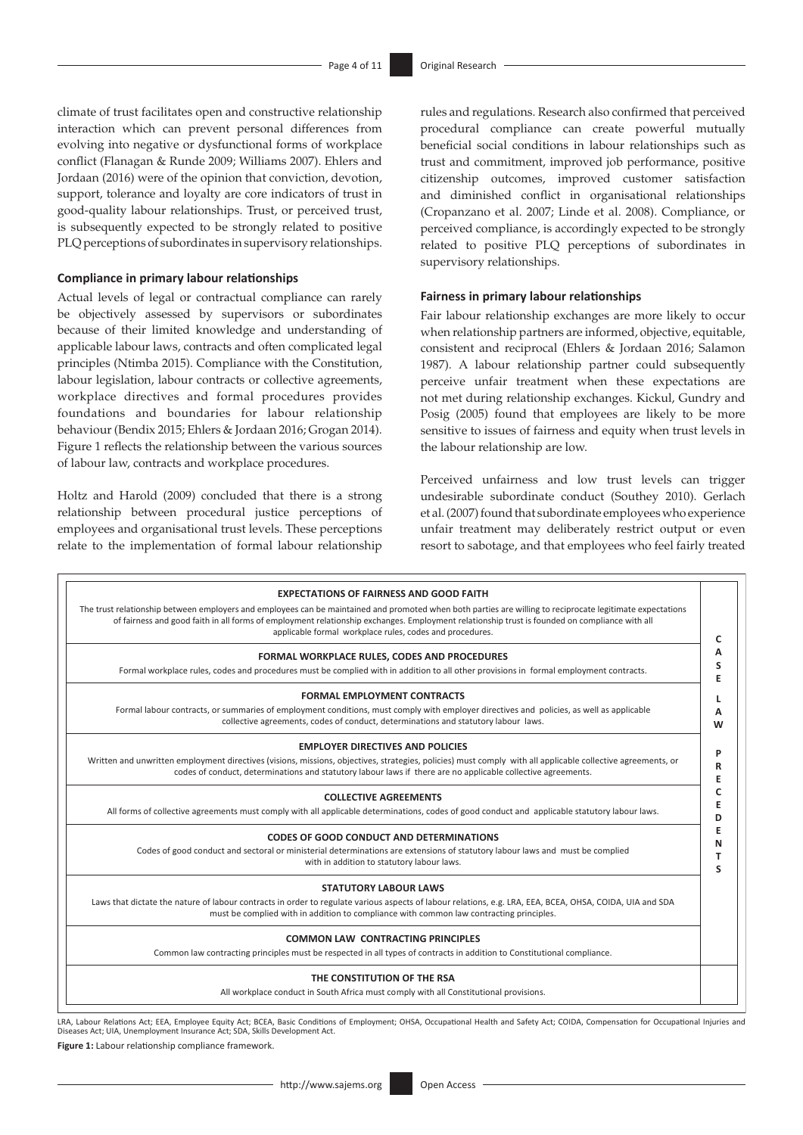climate of trust facilitates open and constructive relationship interaction which can prevent personal differences from evolving into negative or dysfunctional forms of workplace conflict (Flanagan & Runde 2009; Williams 2007). Ehlers and Jordaan (2016) were of the opinion that conviction, devotion, support, tolerance and loyalty are core indicators of trust in good-quality labour relationships. Trust, or perceived trust, is subsequently expected to be strongly related to positive PLQ perceptions of subordinates in supervisory relationships.

#### **Compliance in primary labour relationships**

Actual levels of legal or contractual compliance can rarely be objectively assessed by supervisors or subordinates because of their limited knowledge and understanding of applicable labour laws, contracts and often complicated legal principles (Ntimba 2015). Compliance with the Constitution, labour legislation, labour contracts or collective agreements, workplace directives and formal procedures provides foundations and boundaries for labour relationship behaviour(Bendix 2015; Ehlers & Jordaan 2016; Grogan 2014). Figure 1 reflects the relationship between the various sources of labour law, contracts and workplace procedures.

Holtz and Harold (2009) concluded that there is a strong relationship between procedural justice perceptions of employees and organisational trust levels. These perceptions relate to the implementation of formal labour relationship

rules and regulations. Research also confirmed that perceived procedural compliance can create powerful mutually beneficial social conditions in labour relationships such as trust and commitment, improved job performance, positive citizenship outcomes, improved customer satisfaction and diminished conflict in organisational relationships (Cropanzano et al. 2007; Linde et al. 2008). Compliance, or perceived compliance, is accordingly expected to be strongly related to positive PLQ perceptions of subordinates in supervisory relationships.

#### **Fairness in primary labour relationships**

Fair labour relationship exchanges are more likely to occur when relationship partners are informed, objective, equitable, consistent and reciprocal (Ehlers & Jordaan 2016; Salamon 1987). A labour relationship partner could subsequently perceive unfair treatment when these expectations are not met during relationship exchanges. Kickul, Gundry and Posig (2005) found that employees are likely to be more sensitive to issues of fairness and equity when trust levels in the labour relationship are low.

Perceived unfairness and low trust levels can trigger undesirable subordinate conduct (Southey 2010). Gerlach et al. (2007) found that subordinate employees who experience unfair treatment may deliberately restrict output or even resort to sabotage, and that employees who feel fairly treated

| <b>EXPECTATIONS OF FAIRNESS AND GOOD FAITH</b>                                                                                                                                                                                                                                                                                                                          |  |
|-------------------------------------------------------------------------------------------------------------------------------------------------------------------------------------------------------------------------------------------------------------------------------------------------------------------------------------------------------------------------|--|
| The trust relationship between employers and employees can be maintained and promoted when both parties are willing to reciprocate legitimate expectations<br>of fairness and good faith in all forms of employment relationship exchanges. Employment relationship trust is founded on compliance with all<br>applicable formal workplace rules, codes and procedures. |  |
| FORMAL WORKPLACE RULES, CODES AND PROCEDURES                                                                                                                                                                                                                                                                                                                            |  |
| Formal workplace rules, codes and procedures must be complied with in addition to all other provisions in formal employment contracts.                                                                                                                                                                                                                                  |  |
| <b>FORMAL EMPLOYMENT CONTRACTS</b>                                                                                                                                                                                                                                                                                                                                      |  |
| Formal labour contracts, or summaries of employment conditions, must comply with employer directives and policies, as well as applicable<br>collective agreements, codes of conduct, determinations and statutory labour laws.                                                                                                                                          |  |
| <b>EMPLOYER DIRECTIVES AND POLICIES</b>                                                                                                                                                                                                                                                                                                                                 |  |
| Written and unwritten employment directives (visions, missions, objectives, strategies, policies) must comply with all applicable collective agreements, or<br>codes of conduct, determinations and statutory labour laws if there are no applicable collective agreements.                                                                                             |  |
| <b>COLLECTIVE AGREEMENTS</b>                                                                                                                                                                                                                                                                                                                                            |  |
| All forms of collective agreements must comply with all applicable determinations, codes of good conduct and applicable statutory labour laws.                                                                                                                                                                                                                          |  |
| <b>CODES OF GOOD CONDUCT AND DETERMINATIONS</b>                                                                                                                                                                                                                                                                                                                         |  |
| Codes of good conduct and sectoral or ministerial determinations are extensions of statutory labour laws and must be complied<br>with in addition to statutory labour laws.                                                                                                                                                                                             |  |
| <b>STATUTORY LABOUR LAWS</b>                                                                                                                                                                                                                                                                                                                                            |  |
| Laws that dictate the nature of labour contracts in order to regulate various aspects of labour relations, e.g. LRA, EEA, BCEA, OHSA, COIDA, UIA and SDA<br>must be complied with in addition to compliance with common law contracting principles.                                                                                                                     |  |
| <b>COMMON LAW CONTRACTING PRINCIPLES</b>                                                                                                                                                                                                                                                                                                                                |  |
| Common law contracting principles must be respected in all types of contracts in addition to Constitutional compliance.                                                                                                                                                                                                                                                 |  |
| THE CONSTITUTION OF THE RSA                                                                                                                                                                                                                                                                                                                                             |  |
| All workplace conduct in South Africa must comply with all Constitutional provisions.                                                                                                                                                                                                                                                                                   |  |

LRA, Labour Relations Act; EEA, Employee Equity Act; BCEA, Basic Conditions of Employment; OHSA, Occupational Health and Safety Act; COIDA, Compensation for Occupational Injuries and Diseases Act; UIA, Unemployment Insurance Act; SDA, Skills Development Act.

**Figure 1:** Labour relationship compliance framework.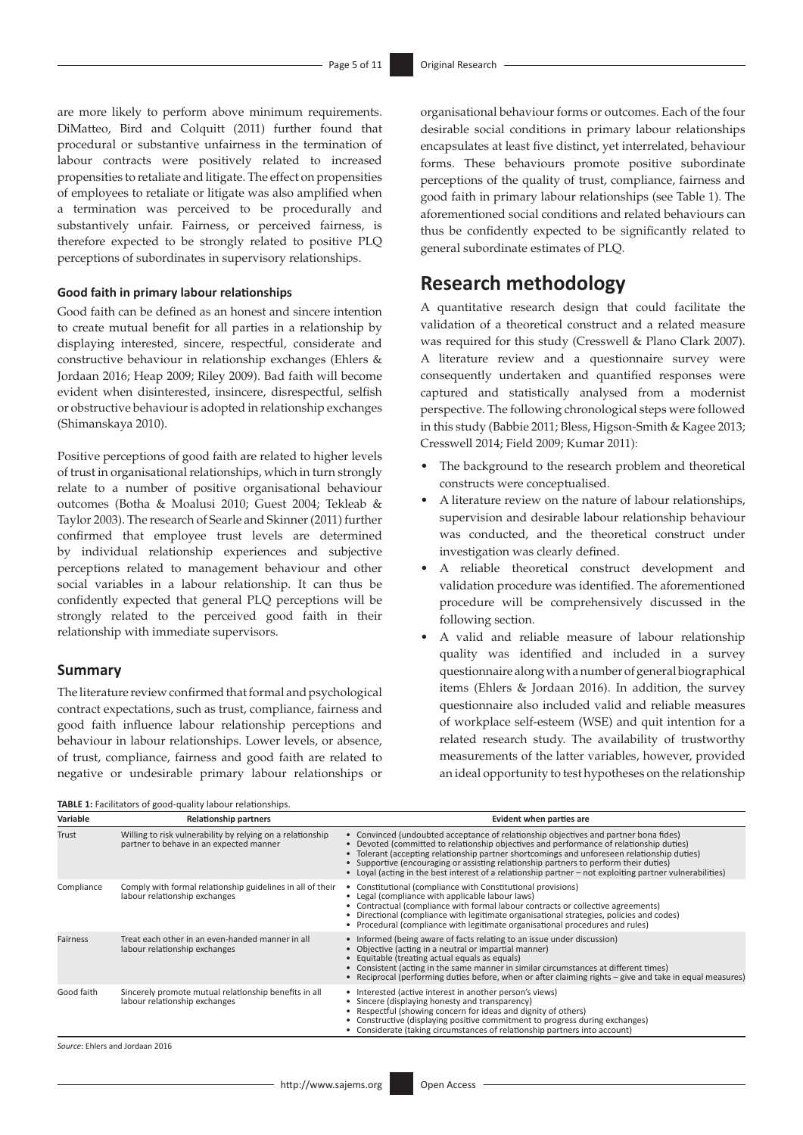are more likely to perform above minimum requirements. DiMatteo, Bird and Colquitt (2011) further found that procedural or substantive unfairness in the termination of labour contracts were positively related to increased propensities to retaliate and litigate. The effect on propensities of employees to retaliate or litigate was also amplified when a termination was perceived to be procedurally and substantively unfair. Fairness, or perceived fairness, is therefore expected to be strongly related to positive PLQ perceptions of subordinates in supervisory relationships.

#### **Good faith in primary labour relationships**

Good faith can be defined as an honest and sincere intention to create mutual benefit for all parties in a relationship by displaying interested, sincere, respectful, considerate and constructive behaviour in relationship exchanges (Ehlers & Jordaan 2016; Heap 2009; Riley 2009). Bad faith will become evident when disinterested, insincere, disrespectful, selfish or obstructive behaviour is adopted in relationship exchanges (Shimanskaya 2010).

Positive perceptions of good faith are related to higher levels of trust in organisational relationships, which in turn strongly relate to a number of positive organisational behaviour outcomes (Botha & Moalusi 2010; Guest 2004; Tekleab & Taylor 2003). The research of Searle and Skinner (2011) further confirmed that employee trust levels are determined by individual relationship experiences and subjective perceptions related to management behaviour and other social variables in a labour relationship. It can thus be confidently expected that general PLQ perceptions will be strongly related to the perceived good faith in their relationship with immediate supervisors.

### **Summary**

The literature review confirmed that formal and psychological contract expectations, such as trust, compliance, fairness and good faith influence labour relationship perceptions and behaviour in labour relationships. Lower levels, or absence, of trust, compliance, fairness and good faith are related to negative or undesirable primary labour relationships or

organisational behaviour forms or outcomes. Each of the four desirable social conditions in primary labour relationships encapsulates at least five distinct, yet interrelated, behaviour forms. These behaviours promote positive subordinate perceptions of the quality of trust, compliance, fairness and good faith in primary labour relationships (see Table 1). The aforementioned social conditions and related behaviours can thus be confidently expected to be significantly related to general subordinate estimates of PLQ.

## **Research methodology**

A quantitative research design that could facilitate the validation of a theoretical construct and a related measure was required for this study (Cresswell & Plano Clark 2007). A literature review and a questionnaire survey were consequently undertaken and quantified responses were captured and statistically analysed from a modernist perspective. The following chronological steps were followed in this study (Babbie 2011; Bless, Higson-Smith & Kagee 2013; Cresswell 2014; Field 2009; Kumar 2011):

- The background to the research problem and theoretical constructs were conceptualised.
- A literature review on the nature of labour relationships, supervision and desirable labour relationship behaviour was conducted, and the theoretical construct under investigation was clearly defined.
- A reliable theoretical construct development and validation procedure was identified. The aforementioned procedure will be comprehensively discussed in the following section.
- A valid and reliable measure of labour relationship quality was identified and included in a survey questionnaire along with a number of general biographical items (Ehlers & Jordaan 2016). In addition, the survey questionnaire also included valid and reliable measures of workplace self-esteem (WSE) and quit intention for a related research study. The availability of trustworthy measurements of the latter variables, however, provided an ideal opportunity to test hypotheses on the relationship

|                 | <b>TABLE 1:</b> Facilitators of good-quality labour relationships.                                    |                                                                                                                                                                                                                                                                                                                                                                                                                                                                             |  |  |  |  |
|-----------------|-------------------------------------------------------------------------------------------------------|-----------------------------------------------------------------------------------------------------------------------------------------------------------------------------------------------------------------------------------------------------------------------------------------------------------------------------------------------------------------------------------------------------------------------------------------------------------------------------|--|--|--|--|
| Variable        | <b>Relationship partners</b>                                                                          | Evident when parties are                                                                                                                                                                                                                                                                                                                                                                                                                                                    |  |  |  |  |
| Trust           | Willing to risk vulnerability by relying on a relationship<br>partner to behave in an expected manner | Convinced (undoubted acceptance of relationship objectives and partner bona fides)<br>Devoted (committed to relationship objectives and performance of relationship duties)<br>Tolerant (accepting relationship partner shortcomings and unforeseen relationship duties)<br>Supportive (encouraging or assisting relationship partners to perform their duties)<br>• Loyal (acting in the best interest of a relationship partner – not exploiting partner vulnerabilities) |  |  |  |  |
| Compliance      | Comply with formal relationship guidelines in all of their<br>labour relationship exchanges           | Constitutional (compliance with Constitutional provisions)<br>Legal (compliance with applicable labour laws)<br>Contractual (compliance with formal labour contracts or collective agreements)<br>Directional (compliance with legitimate organisational strategies, policies and codes)<br>Procedural (compliance with legitimate organisational procedures and rules)<br>٠                                                                                                |  |  |  |  |
| <b>Fairness</b> | Treat each other in an even-handed manner in all<br>labour relationship exchanges                     | • Informed (being aware of facts relating to an issue under discussion)<br>Objective (acting in a neutral or impartial manner)<br>Equitable (treating actual equals as equals)<br>Consistent (acting in the same manner in similar circumstances at different times)<br>Reciprocal (performing duties before, when or after claiming rights – give and take in equal measures)                                                                                              |  |  |  |  |
| Good faith      | Sincerely promote mutual relationship benefits in all<br>labour relationship exchanges                | • Interested (active interest in another person's views)<br>Sincere (displaying honesty and transparency)<br>Respectful (showing concern for ideas and dignity of others)<br>Constructive (displaying positive commitment to progress during exchanges)<br>Considerate (taking circumstances of relationship partners into account)                                                                                                                                         |  |  |  |  |

*Source*: Ehlers and Jordaan 2016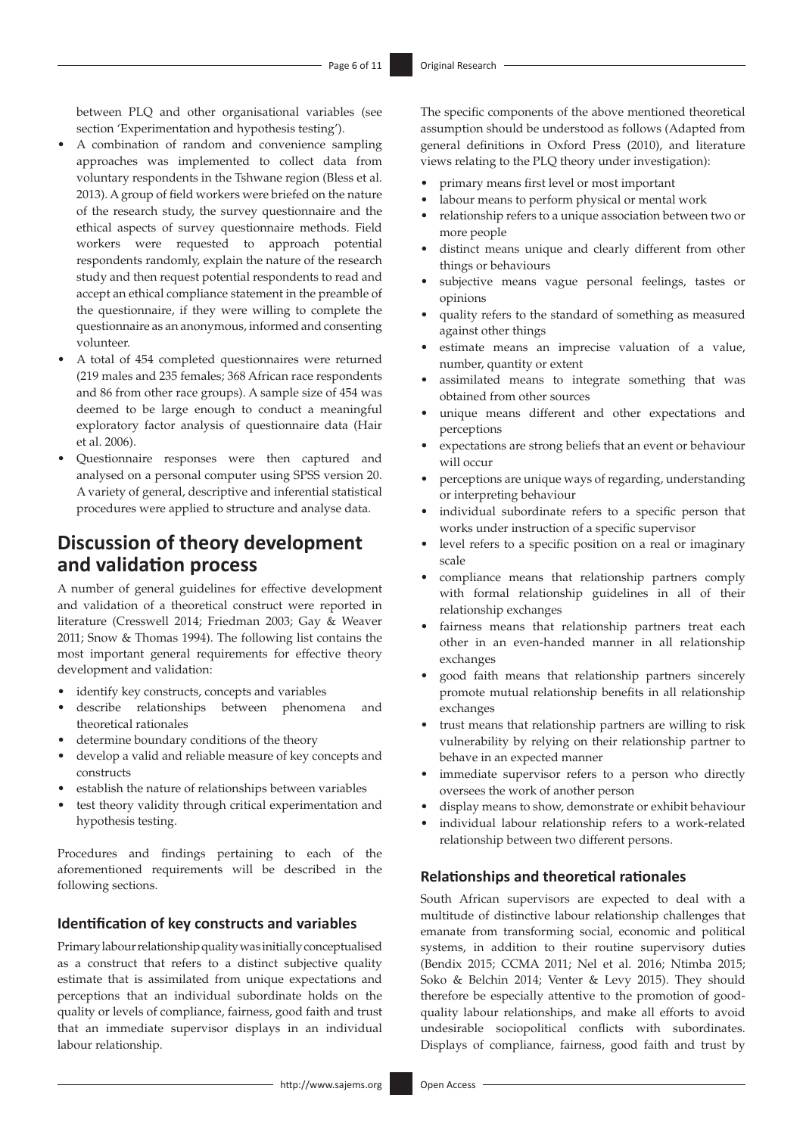between PLQ and other organisational variables (see section 'Experimentation and hypothesis testing').

- A combination of random and convenience sampling approaches was implemented to collect data from voluntary respondents in the Tshwane region (Bless et al. 2013). A group of field workers were briefed on the nature of the research study, the survey questionnaire and the ethical aspects of survey questionnaire methods. Field workers were requested to approach potential respondents randomly, explain the nature of the research study and then request potential respondents to read and accept an ethical compliance statement in the preamble of the questionnaire, if they were willing to complete the questionnaire as an anonymous, informed and consenting volunteer.
- A total of 454 completed questionnaires were returned (219 males and 235 females; 368 African race respondents and 86 from other race groups). A sample size of 454 was deemed to be large enough to conduct a meaningful exploratory factor analysis of questionnaire data (Hair et al. 2006).
- Questionnaire responses were then captured and analysed on a personal computer using SPSS version 20. A variety of general, descriptive and inferential statistical procedures were applied to structure and analyse data.

# **Discussion of theory development and validation process**

A number of general guidelines for effective development and validation of a theoretical construct were reported in literature (Cresswell 2014; Friedman 2003; Gay & Weaver 2011; Snow & Thomas 1994). The following list contains the most important general requirements for effective theory development and validation:

- identify key constructs, concepts and variables
- describe relationships between phenomena and theoretical rationales
- determine boundary conditions of the theory
- develop a valid and reliable measure of key concepts and constructs
- establish the nature of relationships between variables
- test theory validity through critical experimentation and hypothesis testing.

Procedures and findings pertaining to each of the aforementioned requirements will be described in the following sections.

### **Identification of key constructs and variables**

Primary labour relationship quality was initially conceptualised as a construct that refers to a distinct subjective quality estimate that is assimilated from unique expectations and perceptions that an individual subordinate holds on the quality or levels of compliance, fairness, good faith and trust that an immediate supervisor displays in an individual labour relationship.

The specific components of the above mentioned theoretical assumption should be understood as follows (Adapted from general definitions in Oxford Press (2010), and literature views relating to the PLQ theory under investigation):

- primary means first level or most important
- labour means to perform physical or mental work
- relationship refers to a unique association between two or more people
- • distinct means unique and clearly different from other things or behaviours
- subjective means vague personal feelings, tastes or opinions
- quality refers to the standard of something as measured against other things
- estimate means an imprecise valuation of a value, number, quantity or extent
- assimilated means to integrate something that was obtained from other sources
- • unique means different and other expectations and perceptions
- expectations are strong beliefs that an event or behaviour will occur
- perceptions are unique ways of regarding, understanding or interpreting behaviour
- individual subordinate refers to a specific person that works under instruction of a specific supervisor
- level refers to a specific position on a real or imaginary scale
- compliance means that relationship partners comply with formal relationship guidelines in all of their relationship exchanges
- • fairness means that relationship partners treat each other in an even-handed manner in all relationship exchanges
- good faith means that relationship partners sincerely promote mutual relationship benefits in all relationship exchanges
- trust means that relationship partners are willing to risk vulnerability by relying on their relationship partner to behave in an expected manner
- immediate supervisor refers to a person who directly oversees the work of another person
- display means to show, demonstrate or exhibit behaviour
- individual labour relationship refers to a work-related relationship between two different persons.

### **Relationships and theoretical rationales**

South African supervisors are expected to deal with a multitude of distinctive labour relationship challenges that emanate from transforming social, economic and political systems, in addition to their routine supervisory duties (Bendix 2015; CCMA 2011; Nel et al. 2016; Ntimba 2015; Soko & Belchin 2014; Venter & Levy 2015). They should therefore be especially attentive to the promotion of goodquality labour relationships, and make all efforts to avoid undesirable sociopolitical conflicts with subordinates. Displays of compliance, fairness, good faith and trust by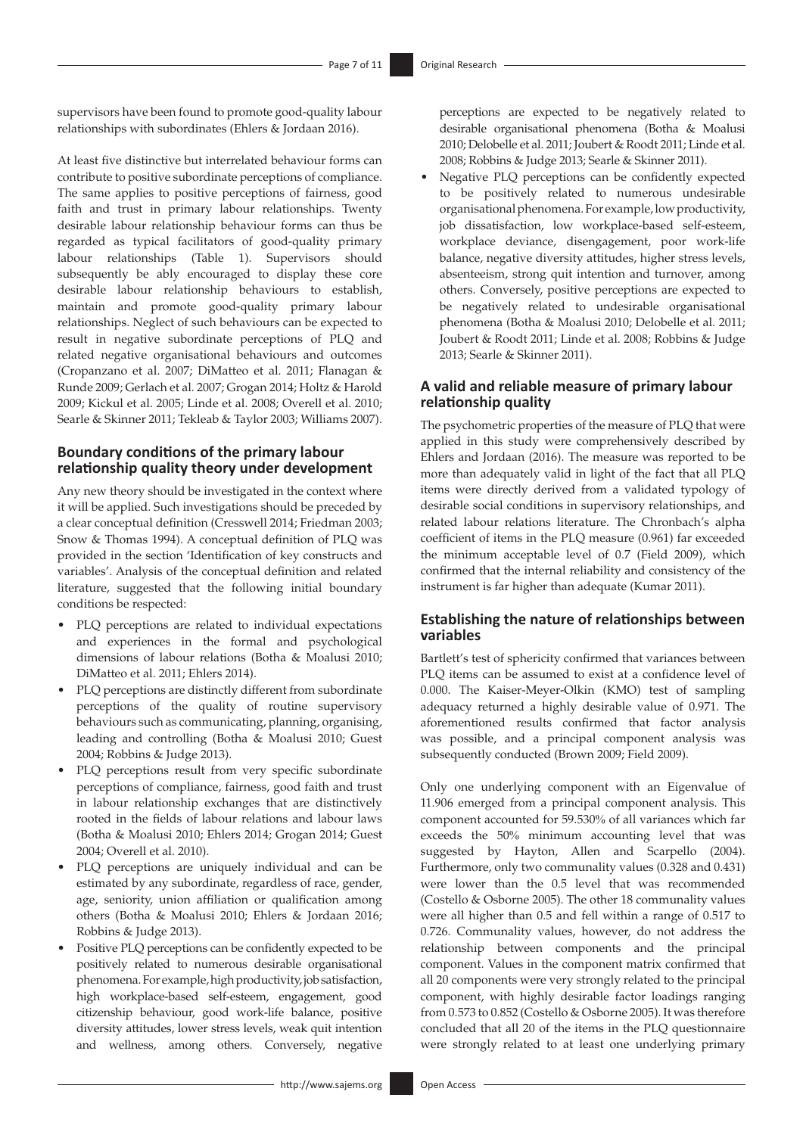supervisors have been found to promote good-quality labour relationships with subordinates (Ehlers & Jordaan 2016).

At least five distinctive but interrelated behaviour forms can contribute to positive subordinate perceptions of compliance. The same applies to positive perceptions of fairness, good faith and trust in primary labour relationships. Twenty desirable labour relationship behaviour forms can thus be regarded as typical facilitators of good-quality primary labour relationships (Table 1). Supervisors should subsequently be ably encouraged to display these core desirable labour relationship behaviours to establish, maintain and promote good-quality primary labour relationships. Neglect of such behaviours can be expected to result in negative subordinate perceptions of PLQ and related negative organisational behaviours and outcomes (Cropanzano et al. 2007; DiMatteo et al. 2011; Flanagan & Runde 2009; Gerlach et al. 2007; Grogan 2014; Holtz & Harold 2009; Kickul et al. 2005; Linde et al. 2008; Overell et al. 2010; Searle & Skinner 2011; Tekleab & Taylor 2003; Williams 2007).

### **Boundary conditions of the primary labour relationship quality theory under development**

Any new theory should be investigated in the context where it will be applied. Such investigations should be preceded by a clear conceptual definition (Cresswell 2014; Friedman 2003; Snow & Thomas 1994). A conceptual definition of PLQ was provided in the section 'Identification of key constructs and variables'. Analysis of the conceptual definition and related literature, suggested that the following initial boundary conditions be respected:

- • PLQ perceptions are related to individual expectations and experiences in the formal and psychological dimensions of labour relations (Botha & Moalusi 2010; DiMatteo et al. 2011; Ehlers 2014).
- • PLQ perceptions are distinctly different from subordinate perceptions of the quality of routine supervisory behaviours such as communicating, planning, organising, leading and controlling (Botha & Moalusi 2010; Guest 2004; Robbins & Judge 2013).
- PLQ perceptions result from very specific subordinate perceptions of compliance, fairness, good faith and trust in labour relationship exchanges that are distinctively rooted in the fields of labour relations and labour laws (Botha & Moalusi 2010; Ehlers 2014; Grogan 2014; Guest 2004; Overell et al. 2010).
- PLQ perceptions are uniquely individual and can be estimated by any subordinate, regardless of race, gender, age, seniority, union affiliation or qualification among others (Botha & Moalusi 2010; Ehlers & Jordaan 2016; Robbins & Judge 2013).
- Positive PLQ perceptions can be confidently expected to be positively related to numerous desirable organisational phenomena. For example, high productivity, job satisfaction, high workplace-based self-esteem, engagement, good citizenship behaviour, good work-life balance, positive diversity attitudes, lower stress levels, weak quit intention and wellness, among others. Conversely, negative

perceptions are expected to be negatively related to desirable organisational phenomena (Botha & Moalusi 2010; Delobelle et al. 2011; Joubert & Roodt 2011; Linde et al. 2008; Robbins & Judge 2013; Searle & Skinner 2011).

Negative PLQ perceptions can be confidently expected to be positively related to numerous undesirable organisational phenomena. For example, low productivity, job dissatisfaction, low workplace-based self-esteem, workplace deviance, disengagement, poor work-life balance, negative diversity attitudes, higher stress levels, absenteeism, strong quit intention and turnover, among others. Conversely, positive perceptions are expected to be negatively related to undesirable organisational phenomena (Botha & Moalusi 2010; Delobelle et al. 2011; Joubert & Roodt 2011; Linde et al. 2008; Robbins & Judge 2013; Searle & Skinner 2011).

### **A valid and reliable measure of primary labour relationship quality**

The psychometric properties of the measure of PLQ that were applied in this study were comprehensively described by Ehlers and Jordaan (2016). The measure was reported to be more than adequately valid in light of the fact that all PLQ items were directly derived from a validated typology of desirable social conditions in supervisory relationships, and related labour relations literature. The Chronbach's alpha coefficient of items in the PLQ measure (0.961) far exceeded the minimum acceptable level of 0.7 (Field 2009), which confirmed that the internal reliability and consistency of the instrument is far higher than adequate (Kumar 2011).

### **Establishing the nature of relationships between variables**

Bartlett's test of sphericity confirmed that variances between PLQ items can be assumed to exist at a confidence level of 0.000. The Kaiser-Meyer-Olkin (KMO) test of sampling adequacy returned a highly desirable value of 0.971. The aforementioned results confirmed that factor analysis was possible, and a principal component analysis was subsequently conducted (Brown 2009; Field 2009).

Only one underlying component with an Eigenvalue of 11.906 emerged from a principal component analysis. This component accounted for 59.530% of all variances which far exceeds the 50% minimum accounting level that was suggested by Hayton, Allen and Scarpello (2004). Furthermore, only two communality values (0.328 and 0.431) were lower than the 0.5 level that was recommended (Costello & Osborne 2005). The other 18 communality values were all higher than 0.5 and fell within a range of 0.517 to 0.726. Communality values, however, do not address the relationship between components and the principal component. Values in the component matrix confirmed that all 20 components were very strongly related to the principal component, with highly desirable factor loadings ranging from 0.573 to 0.852 (Costello & Osborne 2005). It was therefore concluded that all 20 of the items in the PLQ questionnaire were strongly related to at least one underlying primary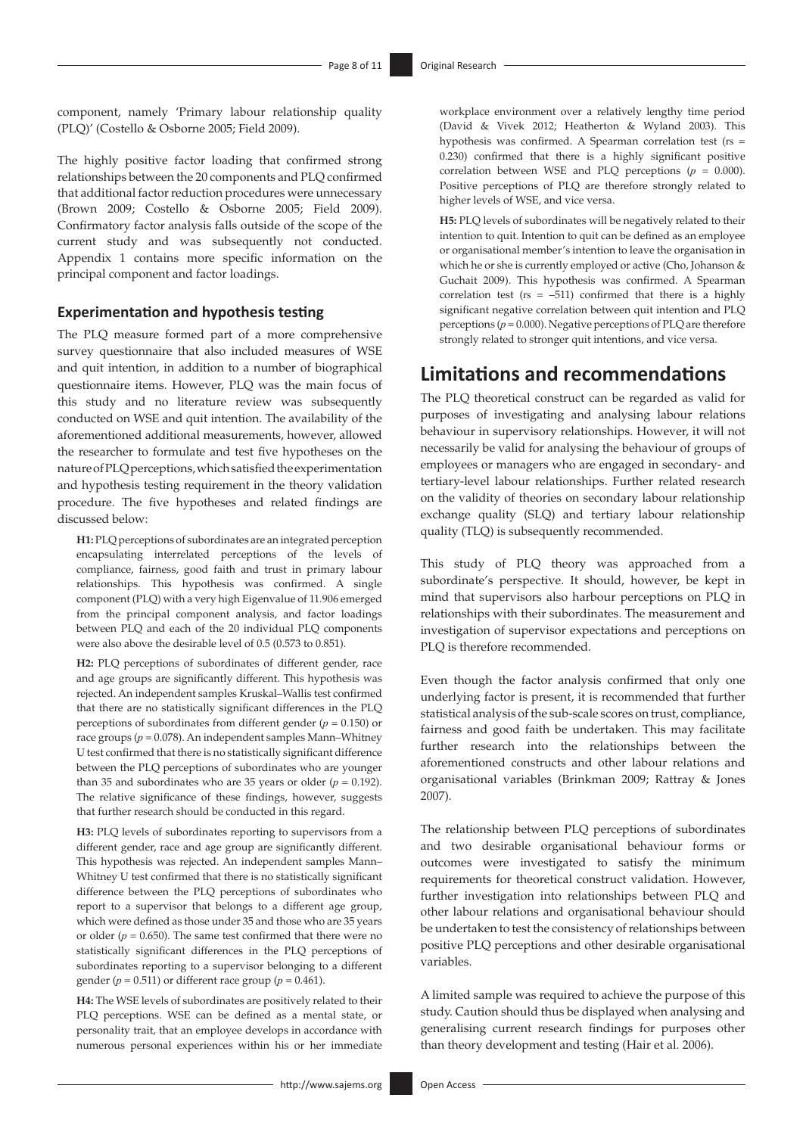component, namely 'Primary labour relationship quality (PLQ)' (Costello & Osborne 2005; Field 2009).

The highly positive factor loading that confirmed strong relationships between the 20 components and PLQ confirmed that additional factor reduction procedures were unnecessary (Brown 2009; Costello & Osborne 2005; Field 2009). Confirmatory factor analysis falls outside of the scope of the current study and was subsequently not conducted. Appendix 1 contains more specific information on the principal component and factor loadings.

### **Experimentation and hypothesis testing**

The PLQ measure formed part of a more comprehensive survey questionnaire that also included measures of WSE and quit intention, in addition to a number of biographical questionnaire items. However, PLQ was the main focus of this study and no literature review was subsequently conducted on WSE and quit intention. The availability of the aforementioned additional measurements, however, allowed the researcher to formulate and test five hypotheses on the nature of PLQ perceptions, which satisfied the experimentation and hypothesis testing requirement in the theory validation procedure. The five hypotheses and related findings are discussed below:

**H1:** PLQ perceptions of subordinates are an integrated perception encapsulating interrelated perceptions of the levels of compliance, fairness, good faith and trust in primary labour relationships. This hypothesis was confirmed. A single component (PLQ) with a very high Eigenvalue of 11.906 emerged from the principal component analysis, and factor loadings between PLQ and each of the 20 individual PLQ components were also above the desirable level of 0.5 (0.573 to 0.851).

**H2:** PLQ perceptions of subordinates of different gender, race and age groups are significantly different. This hypothesis was rejected. An independent samples Kruskal–Wallis test confirmed that there are no statistically significant differences in the PLQ perceptions of subordinates from different gender (*p* = 0.150) or race groups ( $p = 0.078$ ). An independent samples Mann–Whitney U test confirmed that there is no statistically significant difference between the PLQ perceptions of subordinates who are younger than 35 and subordinates who are 35 years or older  $(p = 0.192)$ . The relative significance of these findings, however, suggests that further research should be conducted in this regard.

**H3:** PLQ levels of subordinates reporting to supervisors from a different gender, race and age group are significantly different. This hypothesis was rejected. An independent samples Mann– Whitney U test confirmed that there is no statistically significant difference between the PLQ perceptions of subordinates who report to a supervisor that belongs to a different age group, which were defined as those under 35 and those who are 35 years or older ( $p = 0.650$ ). The same test confirmed that there were no statistically significant differences in the PLQ perceptions of subordinates reporting to a supervisor belonging to a different gender ( $p = 0.511$ ) or different race group ( $p = 0.461$ ).

**H4:** The WSE levels of subordinates are positively related to their PLQ perceptions. WSE can be defined as a mental state, or personality trait, that an employee develops in accordance with numerous personal experiences within his or her immediate workplace environment over a relatively lengthy time period (David & Vivek 2012; Heatherton & Wyland 2003). This hypothesis was confirmed. A Spearman correlation test (rs = 0.230) confirmed that there is a highly significant positive correlation between WSE and PLQ perceptions  $(p = 0.000)$ . Positive perceptions of PLQ are therefore strongly related to higher levels of WSE, and vice versa.

**H5:** PLQ levels of subordinates will be negatively related to their intention to quit. Intention to quit can be defined as an employee or organisational member's intention to leave the organisation in which he or she is currently employed or active (Cho, Johanson & Guchait 2009). This hypothesis was confirmed. A Spearman correlation test ( $rs = -511$ ) confirmed that there is a highly significant negative correlation between quit intention and PLQ perceptions ( $p = 0.000$ ). Negative perceptions of PLQ are therefore strongly related to stronger quit intentions, and vice versa.

# **Limitations and recommendations**

The PLQ theoretical construct can be regarded as valid for purposes of investigating and analysing labour relations behaviour in supervisory relationships. However, it will not necessarily be valid for analysing the behaviour of groups of employees or managers who are engaged in secondary- and tertiary-level labour relationships. Further related research on the validity of theories on secondary labour relationship exchange quality (SLQ) and tertiary labour relationship quality (TLQ) is subsequently recommended.

This study of PLQ theory was approached from a subordinate's perspective. It should, however, be kept in mind that supervisors also harbour perceptions on PLQ in relationships with their subordinates. The measurement and investigation of supervisor expectations and perceptions on PLQ is therefore recommended.

Even though the factor analysis confirmed that only one underlying factor is present, it is recommended that further statistical analysis of the sub-scale scores on trust, compliance, fairness and good faith be undertaken. This may facilitate further research into the relationships between the aforementioned constructs and other labour relations and organisational variables (Brinkman 2009; Rattray & Jones 2007).

The relationship between PLQ perceptions of subordinates and two desirable organisational behaviour forms or outcomes were investigated to satisfy the minimum requirements for theoretical construct validation. However, further investigation into relationships between PLQ and other labour relations and organisational behaviour should be undertaken to test the consistency of relationships between positive PLQ perceptions and other desirable organisational variables.

A limited sample was required to achieve the purpose of this study. Caution should thus be displayed when analysing and generalising current research findings for purposes other than theory development and testing (Hair et al. 2006).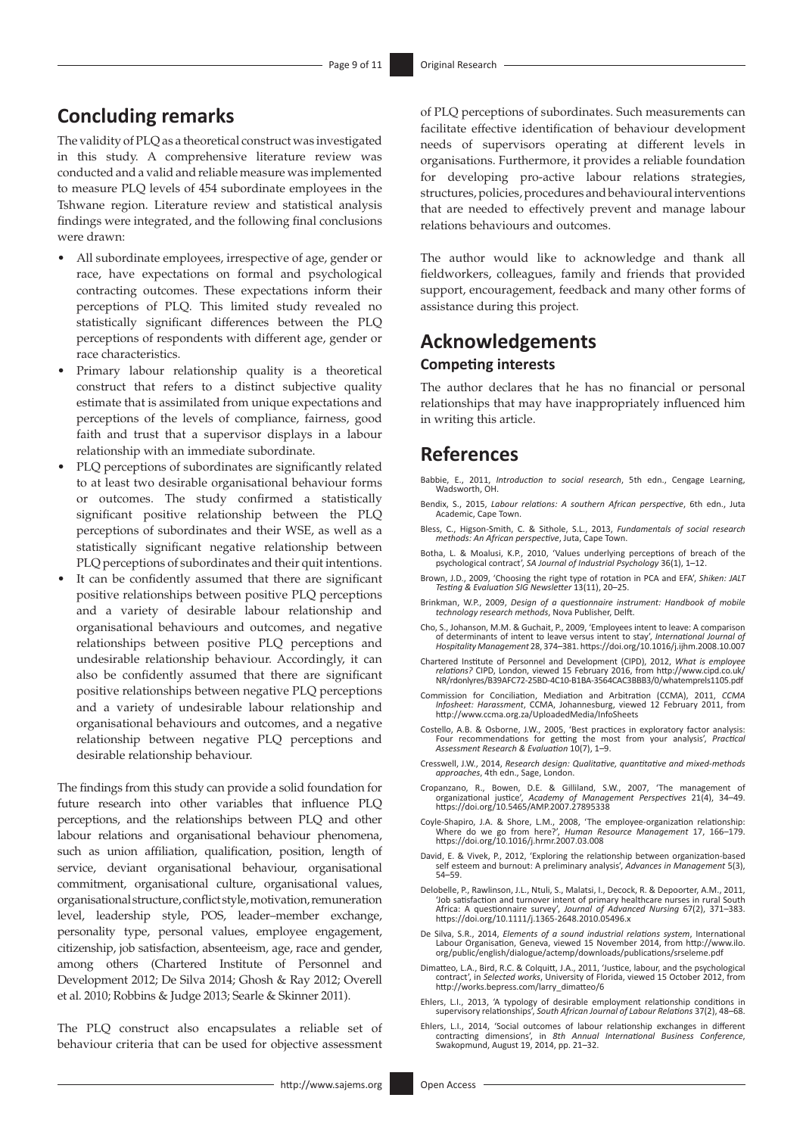# **Concluding remarks**

The validity of PLQ as a theoretical construct was investigated in this study. A comprehensive literature review was conducted and a valid and reliable measure was implemented to measure PLQ levels of 454 subordinate employees in the Tshwane region. Literature review and statistical analysis findings were integrated, and the following final conclusions were drawn:

- All subordinate employees, irrespective of age, gender or race, have expectations on formal and psychological contracting outcomes. These expectations inform their perceptions of PLQ. This limited study revealed no statistically significant differences between the PLQ perceptions of respondents with different age, gender or race characteristics.
- Primary labour relationship quality is a theoretical construct that refers to a distinct subjective quality estimate that is assimilated from unique expectations and perceptions of the levels of compliance, fairness, good faith and trust that a supervisor displays in a labour relationship with an immediate subordinate.
- PLQ perceptions of subordinates are significantly related to at least two desirable organisational behaviour forms or outcomes. The study confirmed a statistically significant positive relationship between the PLQ perceptions of subordinates and their WSE, as well as a statistically significant negative relationship between PLQ perceptions of subordinates and their quit intentions.
- It can be confidently assumed that there are significant positive relationships between positive PLQ perceptions and a variety of desirable labour relationship and organisational behaviours and outcomes, and negative relationships between positive PLQ perceptions and undesirable relationship behaviour. Accordingly, it can also be confidently assumed that there are significant positive relationships between negative PLQ perceptions and a variety of undesirable labour relationship and organisational behaviours and outcomes, and a negative relationship between negative PLQ perceptions and desirable relationship behaviour.

The findings from this study can provide a solid foundation for future research into other variables that influence PLQ perceptions, and the relationships between PLQ and other labour relations and organisational behaviour phenomena, such as union affiliation, qualification, position, length of service, deviant organisational behaviour, organisational commitment, organisational culture, organisational values, organisational structure, conflict style, motivation, remuneration level, leadership style, POS, leader–member exchange, personality type, personal values, employee engagement, citizenship, job satisfaction, absenteeism, age, race and gender, among others (Chartered Institute of Personnel and Development 2012; De Silva 2014; Ghosh & Ray 2012; Overell et al. 2010; Robbins & Judge 2013; Searle & Skinner 2011).

The PLQ construct also encapsulates a reliable set of behaviour criteria that can be used for objective assessment

of PLQ perceptions of subordinates. Such measurements can facilitate effective identification of behaviour development needs of supervisors operating at different levels in organisations. Furthermore, it provides a reliable foundation for developing pro-active labour relations strategies, structures, policies, procedures and behavioural interventions that are needed to effectively prevent and manage labour relations behaviours and outcomes.

The author would like to acknowledge and thank all fieldworkers, colleagues, family and friends that provided support, encouragement, feedback and many other forms of assistance during this project.

# **Acknowledgements Competing interests**

The author declares that he has no financial or personal relationships that may have inappropriately influenced him in writing this article.

# **References**

- Babbie, E., 2011, *Introduction to social research*, 5th edn., Cengage Learning, Wadsworth, OH.
- Bendix, S., 2015, *Labour relations: A southern African perspective*, 6th edn., Juta Academic, Cape Town.
- Bless, C., Higson-Smith, C. & Sithole, S.L., 2013, *Fundamentals of social research methods: An African perspective*, Juta, Cape Town.
- Botha, L. & Moalusi, K.P., 2010, 'Values underlying perceptions of breach of the psychological contract', *SA Journal of Industrial Psychology* 36(1), 1–12.
- Brown, J.D., 2009, 'Choosing the right type of rotation in PCA and EFA', *Shiken: JALT Testing & Evaluation SIG Newsletter* 13(11), 20–25.
- Brinkman, W.P., 2009, *Design of a questionnaire instrument: Handbook of mobile technology research methods*, Nova Publisher, Delft.
- Cho, S., Johanson, M.M. & Guchait, P., 2009, 'Employees intent to leave: A comparison of determinants of intent to leave versus intent to stay', *International Journal of Hospitality Management* 28, 374–381.<https://doi.org/10.1016/j.ijhm.2008.10.007>
- Chartered Institute of Personnel and Development (CIPD), 2012, *What is employee relations?* CIPD, London, viewed 15 February 2016, from [http://www.cipd.co.uk/](http://www.cipd.co.uk/NR/rdonlyres/B39AFC72-25BD-4C10-B1BA-3564CAC3BBB3/0/whatemprels1105.pdf) [NR/rdonlyres/B39AFC72-25BD-4C10-B1BA-3564CAC3BBB3/0/whatemprels1105.pdf](http://www.cipd.co.uk/NR/rdonlyres/B39AFC72-25BD-4C10-B1BA-3564CAC3BBB3/0/whatemprels1105.pdf)
- Commission for Conciliation, Mediation and Arbitration (CCMA), 2011, *CCMA Infosheet: Harassment*, CCMA, Johannesburg, viewed 12 February 2011, from <http://www.ccma.org.za/UploadedMedia/InfoSheets>
- Costello, A.B. & Osborne, J.W., 2005, 'Best practices in exploratory factor analysis: Four recommendations for getting the most from your analysis', *Practical Assessment Research & Evaluation* 10(7), 1–9.
- Cresswell, J.W., 2014, *Research design: Qualitative, quantitative and mixed-methods approaches*, 4th edn., Sage, London.
- Cropanzano, R., Bowen, D.E. & Gilliland, S.W., 2007, 'The management of organizational justice', *Academy of Management Perspectives* 21(4), 34–49. <https://doi.org/10.5465/AMP.2007.27895338>
- Coyle-Shapiro, J.A. & Shore, L.M., 2008, 'The employee-organization relationship: Where do we go from here?', *Human Resource Management* 17, 166–179. <https://doi.org/10.1016/j.hrmr.2007.03.008>
- David, E. & Vivek, P., 2012, 'Exploring the relationship between organization-based self esteem and burnout: A preliminary analysis', *Advances in Management* 5(3), 54–59.
- Delobelle, P., Rawlinson, J.L., Ntuli, S., Malatsi, I., Decock, R. & Depoorter, A.M., 2011, 'Job satisfaction and turnover intent of primary healthcare nurses in rural South Africa: A questionnaire survey', *Journal of Advanced Nursing* 67(2), 371–383. <https://doi.org/10.1111/j.1365-2648.2010.05496.x>
- De Silva, S.R., 2014, *Elements of a sound industrial relations system*, International Labour Organisation, Geneva, viewed 15 November 2014, from [http://www.ilo.](http://www.ilo.org/public/english/dialogue/actemp/downloads/publications/srseleme.pdf) [org/public/english/dialogue/actemp/downloads/publications/srseleme.pdf](http://www.ilo.org/public/english/dialogue/actemp/downloads/publications/srseleme.pdf)
- Dimatteo, L.A., Bird, R.C. & Colquitt, J.A., 2011, 'Justice, labour, and the psychological contract', in *Selected works*, University of Florida, viewed 15 October 2012, from [http://works.bepress.com/larry\\_dimatteo/6](http://works.bepress.com/larry_dimatteo/6)
- Ehlers, L.I., 2013, 'A typology of desirable employment relationship conditions in supervisory relationships', *South African Journal of Labour Relations* 37(2), 48–68.
- Ehlers, L.I., 2014, 'Social outcomes of labour relationship exchanges in different contracting dimensions', in *8th Annual International Business Conference*, Swakopmund, August 19, 2014, pp. 21–32.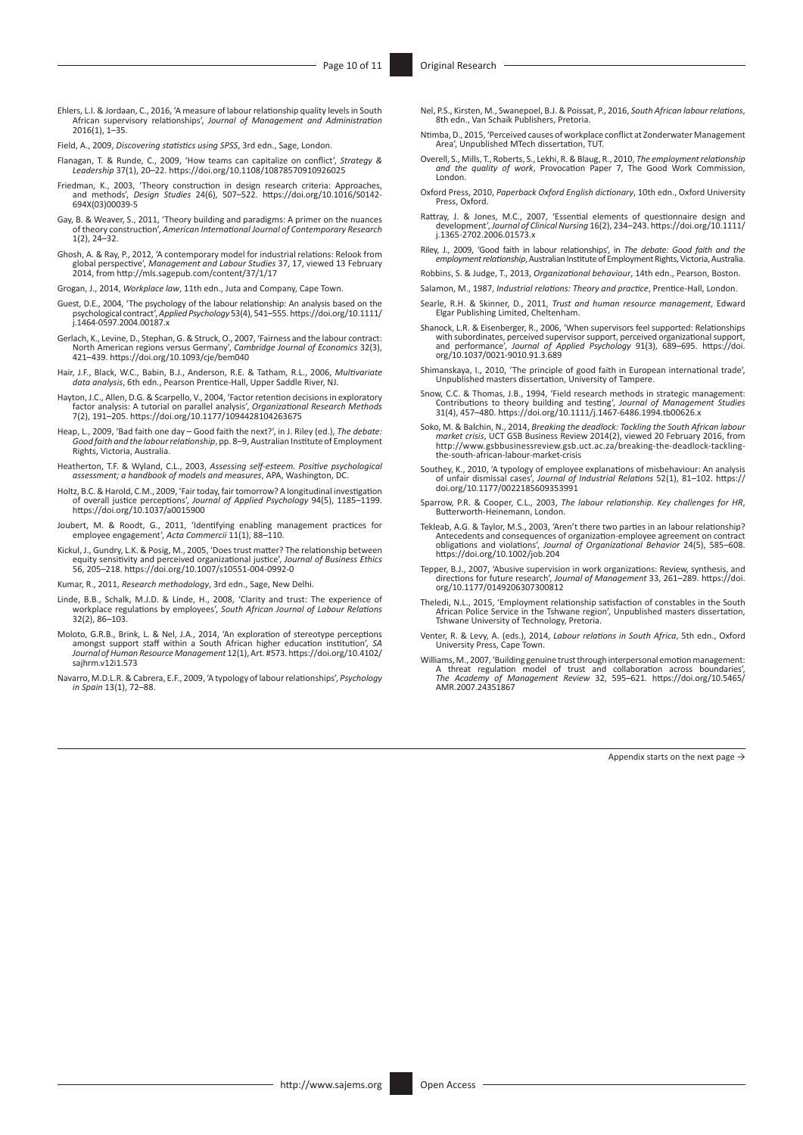- Ehlers, L.I. & Jordaan, C., 2016, 'A measure of labour relationship quality levels in South African supervisory relationships', *Journal of Management and Administration* 2016(1), 1–35.
- Field, A., 2009, *Discovering statistics using SPSS*, 3rd edn., Sage, London.
- Flanagan, T. & Runde, C., 2009, 'How teams can capitalize on conflict', *Strategy & Leadership* 37(1), 20–22.<https://doi.org/10.1108/10878570910926025>
- Friedman, K., 2003, 'Theory construction in design research criteria: Approaches, and methods', *Design Studies* 24(6), 507–522. [https://doi.org/10.1016/S0142-](https://doi.org/10.1016/S0142-694X(03)00039-5) [694X\(03\)00039-5](https://doi.org/10.1016/S0142-694X(03)00039-5)
- Gay, B. & Weaver, S., 2011, 'Theory building and paradigms: A primer on the nuances of theory construction', *American International Journal of Contemporary Research* 1(2), 24–32.
- Ghosh, A. & Ray, P., 2012, 'A contemporary model for industrial relations: Relook from global perspective', *Management and Labour Studies* 37, 17, viewed 13 February 2014, from <http://mls.sagepub.com/content/37/1/17>
- Grogan, J., 2014, *Workplace law*, 11th edn., Juta and Company, Cape Town.
- Guest, D.E., 2004, 'The psychology of the labour relationship: An analysis based on the psychological contract', *Applied Psychology* 53(4), 541–555. [https://doi.org/10.1111/](https://doi.org/10.1111/j.1464-0597.2004.00187.x) [j.1464-0597.2004.00187.x](https://doi.org/10.1111/j.1464-0597.2004.00187.x)
- Gerlach, K., Levine, D., Stephan, G. & Struck, O., 2007, 'Fairness and the labour contract: North American regions versus Germany', *Cambridge Journal of Economics* 32(3), 421–439. <https://doi.org/10.1093/cje/bem040>
- Hair, J.F., Black, W.C., Babin, B.J., Anderson, R.E. & Tatham, R.L., 2006, *Multivariate data analysis*, 6th edn., Pearson Prentice-Hall, Upper Saddle River, NJ.
- Hayton, J.C., Allen, D.G. & Scarpello, V., 2004, 'Factor retention decisions in exploratory factor analysis: A tutorial on parallel analysis', *Organizational Research Methods* 7(2), 191–205. <https://doi.org/10.1177/1094428104263675>
- Heap, L., 2009, 'Bad faith one day Good faith the next?', in J. Riley (ed.), *The debate: Good faith and the labour relationship*, pp. 8–9, Australian Institute of Employment Rights, Victoria, Australia.
- Heatherton, T.F. & Wyland, C.L., 2003, *Assessing self-esteem. Positive psychological assessment; a handbook of models and measures*, APA, Washington, DC.
- Holtz, B.C. & Harold, C.M., 2009, 'Fair today, fair tomorrow? A longitudinal investigation of overall justice perceptions', *Journal of Applied Psychology* 94(5), 1185–1199. <https://doi.org/10.1037/a0015900>
- Joubert, M. & Roodt, G., 2011, 'Identifying enabling management practices for employee engagement', *Acta Commercii* 11(1), 88–110.
- Kickul, J., Gundry, L.K. & Posig, M., 2005, 'Does trust matter? The relationship between equity sensitivity and perceived organizational justice', *Journal of Business Ethics*  56, 205–218.<https://doi.org/10.1007/s10551-004-0992-0>
- Kumar, R., 2011, *Research methodology*, 3rd edn., Sage, New Delhi.
- Linde, B.B., Schalk, M.J.D. & Linde, H., 2008, 'Clarity and trust: The experience of workplace regulations by employees', *South African Journal of Labour Relations* 32(2), 86–103.
- Moloto, G.R.B., Brink, L. & Nel, J.A., 2014, 'An exploration of stereotype perceptions amongst support staff within a South African higher education institution', *SA Journal of Human Resource Management* 12(1), Art. #573. [https://doi.org/10.4102/](https://doi.org/10.4102/sajhrm.v12i1.573) [sajhrm.v12i1.573](https://doi.org/10.4102/sajhrm.v12i1.573)
- Navarro, M.D.L.R. & Cabrera, E.F., 2009, 'A typology of labour relationships', *Psychology in Spain* 13(1), 72–88.
- Nel, P.S., Kirsten, M., Swanepoel, B.J. & Poissat, P., 2016, *South African labour relations*, 8th edn., Van Schaik Publishers, Pretoria.
- Ntimba, D., 2015, 'Perceived causes of workplace conflict at Zonderwater Management Area', Unpublished MTech dissertation, TUT.
- Overell, S., Mills, T., Roberts, S., Lekhi, R. & Blaug, R., 2010, *The employment relationship and the quality of work*, Provocation Paper 7, The Good Work Commission, London.
- Oxford Press, 2010, *Paperback Oxford English dictionary*, 10th edn., Oxford University Press, Oxford.
- Rattray, J. & Jones, M.C., 2007, 'Essential elements of questionnaire design and development', *Journal of Clinical Nursing* 16(2), 234–243. [https://doi.org/10.1111/](https://doi.org/10.1111/j.1365-2702.2006.01573.x) [j.1365-2702.2006.01573.x](https://doi.org/10.1111/j.1365-2702.2006.01573.x)
- Riley, J., 2009, 'Good faith in labour relationships', in *The debate: Good faith and the employment relationship*, Australian Institute of Employment Rights, Victoria, Australia.
- Robbins, S. & Judge, T., 2013, *Organizational behaviour*, 14th edn., Pearson, Boston.
- Salamon, M., 1987, *Industrial relations: Theory and practice*, Prentice-Hall, London.
- Searle, R.H. & Skinner, D., 2011, *Trust and human resource management*, Edward Elgar Publishing Limited, Cheltenham.
- Shanock, L.R. & Eisenberger, R., 2006, 'When supervisors feel supported: Relationships with subordinates, perceived supervisor support, perceived organizational support, and performance', *Journal of Applied Psychology* 91(3), 689–695. [https://doi.](https://doi.org/10.1037/0021-9010.91.3.689) [org/10.1037/0021-9010.91.3.689](https://doi.org/10.1037/0021-9010.91.3.689)
- Shimanskaya, I., 2010, 'The principle of good faith in European international trade', Unpublished masters dissertation, University of Tampere.
- Snow, C.C. & Thomas, J.B., 1994, 'Field research methods in strategic management: Contributions to theory building and testing', *Journal of Management Studies* 31(4), 457–480.<https://doi.org/10.1111/j.1467-6486.1994.tb00626.x>
- Soko, M. & Balchin, N., 2014, *Breaking the deadlock: Tackling the South African labour market crisis*, UCT GSB Business Review 2014(2), viewed 20 February 2016, from [http://www.gsbbusinessreview.gsb.uct.ac.za/breaking-the-deadlock-tackling](http://www.gsbbusinessreview.gsb.uct.ac.za/breaking-the-deadlock-tackling-the-south-african-labour-market-crisis)[the-south-african-labour-market-crisis](http://www.gsbbusinessreview.gsb.uct.ac.za/breaking-the-deadlock-tackling-the-south-african-labour-market-crisis)
- Southey, K., 2010, 'A typology of employee explanations of misbehaviour: An analysis of unfair dismissal cases', *Journal of Industrial Relations* 52(1), 81–102. [https://](https://doi.org/10.1177/0022185609353991) [doi.org/10.1177/0022185609353991](https://doi.org/10.1177/0022185609353991)
- Sparrow, P.R. & Cooper, C.L., 2003, *The labour relationship. Key challenges for HR*, Butterworth-Heinemann. London.
- Tekleab, A.G. & Taylor, M.S., 2003, 'Aren't there two parties in an labour relationship? Antecedents and consequences of organization-employee agreement on contract obligations and violations', *Journal of Organizational Behavior* 24(5), 585–608. <https://doi.org/10.1002/job.204>
- Tepper, B.J., 2007, 'Abusive supervision in work organizations: Review, synthesis, and directions for future research', *Journal of Management* 33, 261–289. [https://doi.](https://doi.org/10.1177/0149206307300812) [org/10.1177/0149206307300812](https://doi.org/10.1177/0149206307300812)
- Theledi, N.L., 2015, 'Employment relationship satisfaction of constables in the South African Police Service in the Tshwane region', Unpublished masters dissertation, Tshwane University of Technology, Pretoria.
- Venter, R. & Levy, A. (eds.), 2014, *Labour relations in South Africa*, 5th edn., Oxford University Press, Cape Town.
- Williams, M., 2007, 'Building genuine trust through interpersonal emotion management:<br>A threat regulation model of trust and collaboration across boundaries',<br>The Academy of Management Review 32, 595–621. https://doi.org/1 [AMR.2007.24351867](https://doi.org/10.5465/AMR.2007.24351867)

Appendix starts on the next page  $\rightarrow$